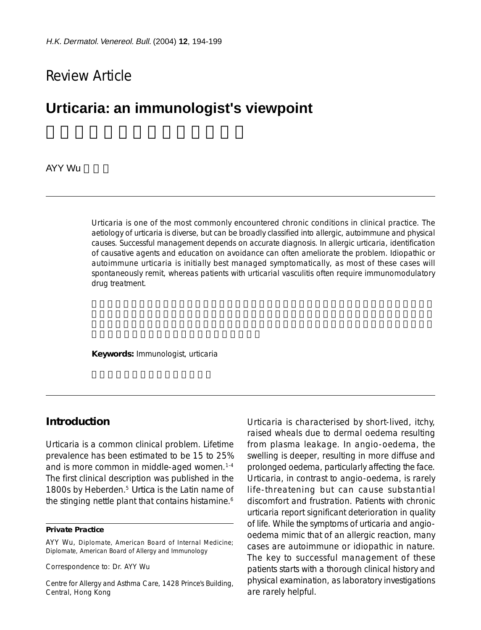# Review Article

# **Urticaria: an immunologist's viewpoint**

AYY Wu

Urticaria is one of the most commonly encountered chronic conditions in clinical practice. The aetiology of urticaria is diverse, but can be broadly classified into allergic, autoimmune and physical causes. Successful management depends on accurate diagnosis. In allergic urticaria, identification of causative agents and education on avoidance can often ameliorate the problem. Idiopathic or autoimmune urticaria is initially best managed symptomatically, as most of these cases will spontaneously remit, whereas patients with urticarial vasculitis often require immunomodulatory drug treatment.

**Keywords:** Immunologist, urticaria

#### **Introduction**

Urticaria is a common clinical problem. Lifetime prevalence has been estimated to be 15 to 25% and is more common in middle-aged women.<sup>1-4</sup> The first clinical description was published in the 1800s by Heberden.5 *Urtica* is the Latin name of the stinging nettle plant that contains histamine.<sup>6</sup>

#### **Private Practice**

Correspondence to: Dr. AYY Wu

Centre for Allergy and Asthma Care, 1428 Prince's Building, Central, Hong Kong

Urticaria is characterised by short-lived, itchy, raised wheals due to dermal oedema resulting from plasma leakage. In angio-oedema, the swelling is deeper, resulting in more diffuse and prolonged oedema, particularly affecting the face. Urticaria, in contrast to angio-oedema, is rarely life-threatening but can cause substantial discomfort and frustration. Patients with chronic urticaria report significant deterioration in quality of life. While the symptoms of urticaria and angiooedema mimic that of an allergic reaction, many cases are autoimmune or idiopathic in nature. The key to successful management of these patients starts with a thorough clinical history and physical examination, as laboratory investigations are rarely helpful.

AYY Wu, Diplomate, American Board of Internal Medicine; Diplomate, American Board of Allergy and Immunology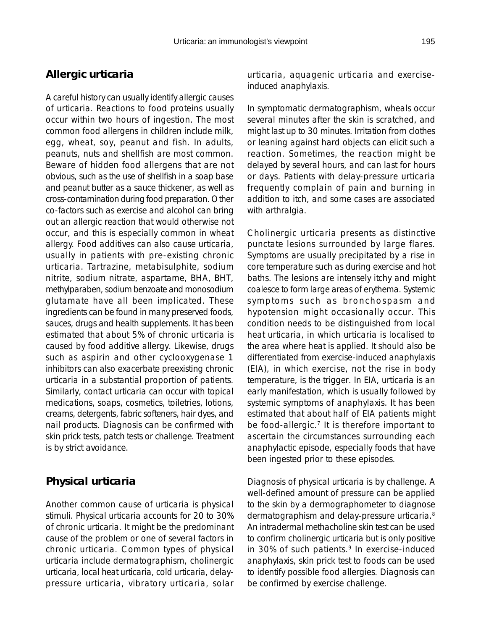## **Allergic urticaria**

A careful history can usually identify allergic causes of urticaria. Reactions to food proteins usually occur within two hours of ingestion. The most common food allergens in children include milk, egg, wheat, soy, peanut and fish. In adults, peanuts, nuts and shellfish are most common. Beware of hidden food allergens that are not obvious, such as the use of shellfish in a soap base and peanut butter as a sauce thickener, as well as cross-contamination during food preparation. Other co-factors such as exercise and alcohol can bring out an allergic reaction that would otherwise not occur, and this is especially common in wheat allergy. Food additives can also cause urticaria, usually in patients with pre-existing chronic urticaria. Tartrazine, metabisulphite, sodium nitrite, sodium nitrate, aspartame, BHA, BHT, methylparaben, sodium benzoate and monosodium glutamate have all been implicated. These ingredients can be found in many preserved foods, sauces, drugs and health supplements. It has been estimated that about 5% of chronic urticaria is caused by food additive allergy. Likewise, drugs such as aspirin and other cyclooxygenase 1 inhibitors can also exacerbate preexisting chronic urticaria in a substantial proportion of patients. Similarly, contact urticaria can occur with topical medications, soaps, cosmetics, toiletries, lotions, creams, detergents, fabric softeners, hair dyes, and nail products. Diagnosis can be confirmed with skin prick tests, patch tests or challenge. Treatment is by strict avoidance.

## **Physical urticaria**

Another common cause of urticaria is physical stimuli. Physical urticaria accounts for 20 to 30% of chronic urticaria. It might be the predominant cause of the problem or one of several factors in chronic urticaria. Common types of physical urticaria include dermatographism, cholinergic urticaria, local heat urticaria, cold urticaria, delaypressure urticaria, vibratory urticaria, solar urticaria, aquagenic urticaria and exerciseinduced anaphylaxis.

In symptomatic dermatographism, wheals occur several minutes after the skin is scratched, and might last up to 30 minutes. Irritation from clothes or leaning against hard objects can elicit such a reaction. Sometimes, the reaction might be delayed by several hours, and can last for hours or days. Patients with delay-pressure urticaria frequently complain of pain and burning in addition to itch, and some cases are associated with arthralgia.

Cholinergic urticaria presents as distinctive punctate lesions surrounded by large flares. Symptoms are usually precipitated by a rise in core temperature such as during exercise and hot baths. The lesions are intensely itchy and might coalesce to form large areas of erythema. Systemic symptoms such as bronchospasm and hypotension might occasionally occur. This condition needs to be distinguished from local heat urticaria, in which urticaria is localised to the area where heat is applied. It should also be differentiated from exercise-induced anaphylaxis (EIA), in which exercise, not the rise in body temperature, is the trigger. In EIA, urticaria is an early manifestation, which is usually followed by systemic symptoms of anaphylaxis. It has been estimated that about half of EIA patients might be food-allergic.<sup>7</sup> It is therefore important to ascertain the circumstances surrounding each anaphylactic episode, especially foods that have been ingested prior to these episodes.

Diagnosis of physical urticaria is by challenge. A well-defined amount of pressure can be applied to the skin by a dermographometer to diagnose dermatographism and delay-pressure urticaria.8 An intradermal methacholine skin test can be used to confirm cholinergic urticaria but is only positive in 30% of such patients.<sup>9</sup> In exercise-induced anaphylaxis, skin prick test to foods can be used to identify possible food allergies. Diagnosis can be confirmed by exercise challenge.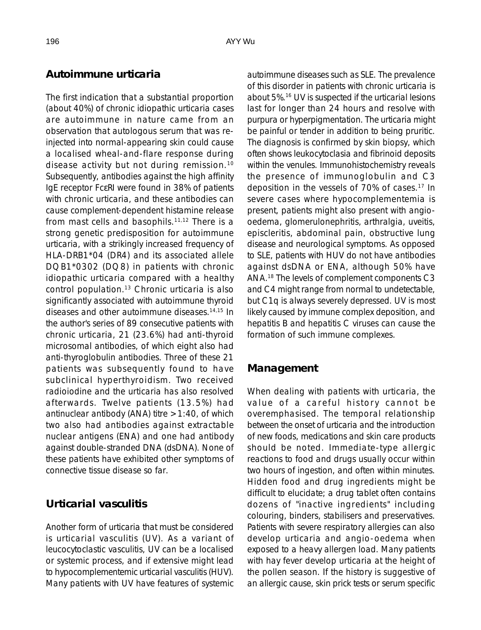#### **Autoimmune urticaria**

The first indication that a substantial proportion (about 40%) of chronic idiopathic urticaria cases are autoimmune in nature came from an observation that autologous serum that was reinjected into normal-appearing skin could cause a localised wheal-and-flare response during disease activity but not during remission.10 Subsequently, antibodies against the high affinity IgE receptor FcεRI were found in 38% of patients with chronic urticaria, and these antibodies can cause complement-dependent histamine release from mast cells and basophils.11,12 There is a strong genetic predisposition for autoimmune urticaria, with a strikingly increased frequency of HLA-DRB1\*04 (DR4) and its associated allele DQB1\*0302 (DQ8) in patients with chronic idiopathic urticaria compared with a healthy control population.13 Chronic urticaria is also significantly associated with autoimmune thyroid diseases and other autoimmune diseases.14,15 In the author's series of 89 consecutive patients with chronic urticaria, 21 (23.6%) had anti-thyroid microsomal antibodies, of which eight also had anti-thyroglobulin antibodies. Three of these 21 patients was subsequently found to have subclinical hyperthyroidism. Two received radioiodine and the urticaria has also resolved afterwards. Twelve patients (13.5%) had antinuclear antibody (ANA) titre  $>1:40$ , of which two also had antibodies against extractable nuclear antigens (ENA) and one had antibody against double-stranded DNA (dsDNA). None of these patients have exhibited other symptoms of connective tissue disease so far.

### **Urticarial vasculitis**

Another form of urticaria that must be considered is urticarial vasculitis (UV). As a variant of leucocytoclastic vasculitis, UV can be a localised or systemic process, and if extensive might lead to hypocomplementemic urticarial vasculitis (HUV). Many patients with UV have features of systemic autoimmune diseases such as SLE. The prevalence of this disorder in patients with chronic urticaria is about 5%.16 UV is suspected if the urticarial lesions last for longer than 24 hours and resolve with purpura or hyperpigmentation. The urticaria might be painful or tender in addition to being pruritic. The diagnosis is confirmed by skin biopsy, which often shows leukocytoclasia and fibrinoid deposits within the venules. Immunohistochemistry reveals the presence of immunoglobulin and C3 deposition in the vessels of 70% of cases.17 In severe cases where hypocomplementemia is present, patients might also present with angiooedema, glomerulonephritis, arthralgia, uveitis, episcleritis, abdominal pain, obstructive lung disease and neurological symptoms. As opposed to SLE, patients with HUV do not have antibodies against dsDNA or ENA, although 50% have ANA.18 The levels of complement components C3 and C4 might range from normal to undetectable, but C1q is always severely depressed. UV is most likely caused by immune complex deposition, and hepatitis B and hepatitis C viruses can cause the formation of such immune complexes.

### **Management**

When dealing with patients with urticaria, the value of a careful history cannot be overemphasised. The temporal relationship between the onset of urticaria and the introduction of new foods, medications and skin care products should be noted. Immediate-type allergic reactions to food and drugs usually occur within two hours of ingestion, and often within minutes. Hidden food and drug ingredients might be difficult to elucidate; a drug tablet often contains dozens of "inactive ingredients" including colouring, binders, stabilisers and preservatives. Patients with severe respiratory allergies can also develop urticaria and angio-oedema when exposed to a heavy allergen load. Many patients with hay fever develop urticaria at the height of the pollen season. If the history is suggestive of an allergic cause, skin prick tests or serum specific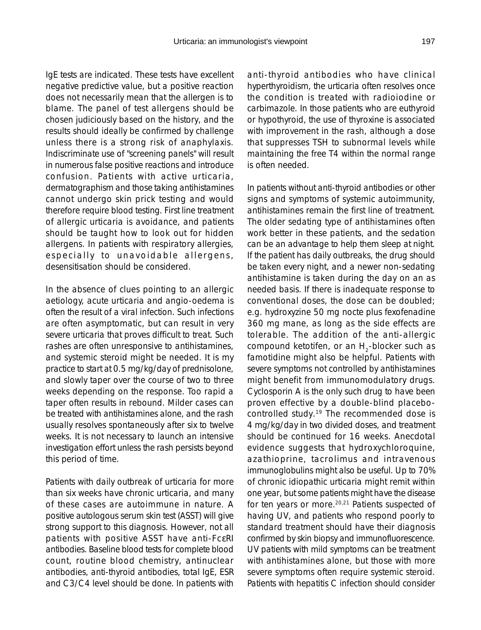IgE tests are indicated. These tests have excellent negative predictive value, but a positive reaction does not necessarily mean that the allergen is to blame. The panel of test allergens should be chosen judiciously based on the history, and the results should ideally be confirmed by challenge unless there is a strong risk of anaphylaxis. Indiscriminate use of "screening panels" will result in numerous false positive reactions and introduce confusion. Patients with active urticaria, dermatographism and those taking antihistamines cannot undergo skin prick testing and would therefore require blood testing. First line treatment of allergic urticaria is avoidance, and patients should be taught how to look out for hidden allergens. In patients with respiratory allergies, especially to unavoidable allergens, desensitisation should be considered.

In the absence of clues pointing to an allergic aetiology, acute urticaria and angio-oedema is often the result of a viral infection. Such infections are often asymptomatic, but can result in very severe urticaria that proves difficult to treat. Such rashes are often unresponsive to antihistamines, and systemic steroid might be needed. It is my practice to start at 0.5 mg/kg/day of prednisolone, and slowly taper over the course of two to three weeks depending on the response. Too rapid a taper often results in rebound. Milder cases can be treated with antihistamines alone, and the rash usually resolves spontaneously after six to twelve weeks. It is not necessary to launch an intensive investigation effort unless the rash persists beyond this period of time.

Patients with daily outbreak of urticaria for more than six weeks have chronic urticaria, and many of these cases are autoimmune in nature. A positive autologous serum skin test (ASST) will give strong support to this diagnosis. However, not all patients with positive ASST have anti-FcεRI antibodies. Baseline blood tests for complete blood count, routine blood chemistry, antinuclear antibodies, anti-thyroid antibodies, total IgE, ESR and C3/C4 level should be done. In patients with anti-thyroid antibodies who have clinical hyperthyroidism, the urticaria often resolves once the condition is treated with radioiodine or carbimazole. In those patients who are euthyroid or hypothyroid, the use of thyroxine is associated with improvement in the rash, although a dose that suppresses TSH to subnormal levels while maintaining the free T4 within the normal range is often needed.

In patients without anti-thyroid antibodies or other signs and symptoms of systemic autoimmunity, antihistamines remain the first line of treatment. The older sedating type of antihistamines often work better in these patients, and the sedation can be an advantage to help them sleep at night. If the patient has daily outbreaks, the drug should be taken every night, and a newer non-sedating antihistamine is taken during the day on an as needed basis. If there is inadequate response to conventional doses, the dose can be doubled; e.g. hydroxyzine 50 mg nocte plus fexofenadine 360 mg mane, as long as the side effects are tolerable. The addition of the anti-allergic compound ketotifen, or an  $H<sub>2</sub>$ -blocker such as famotidine might also be helpful. Patients with severe symptoms not controlled by antihistamines might benefit from immunomodulatory drugs. Cyclosporin A is the only such drug to have been proven effective by a double-blind placebocontrolled study.19 The recommended dose is 4 mg/kg/day in two divided doses, and treatment should be continued for 16 weeks. Anecdotal evidence suggests that hydroxychloroquine, azathioprine, tacrolimus and intravenous immunoglobulins might also be useful. Up to 70% of chronic idiopathic urticaria might remit within one year, but some patients might have the disease for ten years or more.<sup>20,21</sup> Patients suspected of having UV, and patients who respond poorly to standard treatment should have their diagnosis confirmed by skin biopsy and immunofluorescence. UV patients with mild symptoms can be treatment with antihistamines alone, but those with more severe symptoms often require systemic steroid. Patients with hepatitis C infection should consider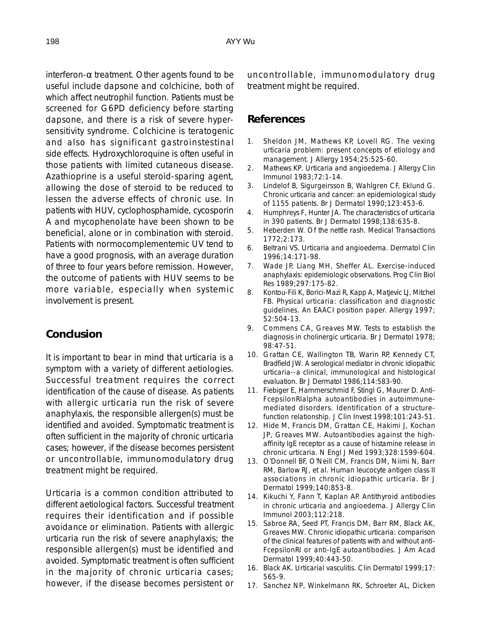interferon- $\alpha$  treatment. Other agents found to be useful include dapsone and colchicine, both of which affect neutrophil function. Patients must be screened for G6PD deficiency before starting dapsone, and there is a risk of severe hypersensitivity syndrome. Colchicine is teratogenic and also has significant gastroinstestinal side effects. Hydroxychloroquine is often useful in those patients with limited cutaneous disease. Azathioprine is a useful steroid-sparing agent, allowing the dose of steroid to be reduced to lessen the adverse effects of chronic use. In patients with HUV, cyclophosphamide, cycosporin A and mycophenolate have been shown to be beneficial, alone or in combination with steroid. Patients with normocomplementemic UV tend to have a good prognosis, with an average duration of three to four years before remission. However, the outcome of patients with HUV seems to be more variable, especially when systemic involvement is present.

### **Conclusion**

It is important to bear in mind that urticaria is a symptom with a variety of different aetiologies. Successful treatment requires the correct identification of the cause of disease. As patients with allergic urticaria run the risk of severe anaphylaxis, the responsible allergen(s) must be identified and avoided. Symptomatic treatment is often sufficient in the majority of chronic urticaria cases; however, if the disease becomes persistent or uncontrollable, immunomodulatory drug treatment might be required.

Urticaria is a common condition attributed to different aetiological factors. Successful treatment requires their identification and if possible avoidance or elimination. Patients with allergic urticaria run the risk of severe anaphylaxis; the responsible allergen(s) must be identified and avoided. Symptomatic treatment is often sufficient in the majority of chronic urticaria cases; however, if the disease becomes persistent or uncontrollable, immunomodulatory drug treatment might be required.

#### **References**

- 1. Sheldon JM, Mathews KP, Lovell RG. The vexing urticaria problem: present concepts of etiology and management. J Allergy 1954;25:525-60.
- 2. Mathews KP. Urticaria and angioedema. J Allergy Clin Immunol 1983;72:1-14.
- 3. Lindelof B, Sigurgeirsson B, Wahlgren CF, Eklund G. Chronic urticaria and cancer: an epidemiological study of 1155 patients. Br J Dermatol 1990;123:453-6.
- 4. Humphreys F, Hunter JA. The characteristics of urticaria in 390 patients. Br J Dermatol 1998;138:635-8.
- 5. Heberden W. Of the nettle rash. Medical Transactions 1772;2:173.
- 6. Beltrani VS. Urticaria and angioedema. Dermatol Clin 1996;14:171-98.
- 7. Wade JP, Liang MH, Sheffer AL. Exercise-induced anaphylaxis: epidemiologic observations. Prog Clin Biol Res 1989;297:175-82.
- 8. Kontou-Fili K, Borici-Mazi R, Kapp A, Matjevic LJ, Mitchel FB. Physical urticaria: classification and diagnostic guidelines. An EAACI position paper. Allergy 1997; 52:504-13.
- 9. Commens CA, Greaves MW. Tests to establish the diagnosis in cholinergic urticaria. Br J Dermatol 1978; 98:47-51.
- 10. Grattan CE, Wallington TB, Warin RP, Kennedy CT, Bradfield JW. A serological mediator in chronic idiopathic urticaria--a clinical, immunological and histological evaluation. Br J Dermatol 1986;114:583-90.
- 11. Fiebiger E, Hammerschmid F, Stingl G, Maurer D. Anti-FcepsilonRIalpha autoantibodies in autoimmunemediated disorders. Identification of a structurefunction relationship. J Clin Invest 1998;101:243-51.
- 12. Hide M, Francis DM, Grattan CE, Hakimi J, Kochan JP, Greaves MW. Autoantibodies against the highaffinity IgE receptor as a cause of histamine release in chronic urticaria. N Engl J Med 1993;328:1599-604.
- 13. O'Donnell BF, O'Neill CM, Francis DM, Niimi N, Barr RM, Barlow RJ, et al. Human leucocyte antigen class II associations in chronic idiopathic urticaria. Br J Dermatol 1999;140:853-8.
- 14. Kikuchi Y, Fann T, Kaplan AP. Antithyroid antibodies in chronic urticaria and angioedema. J Allergy Clin Immunol 2003;112:218.
- 15. Sabroe RA, Seed PT, Francis DM, Barr RM, Black AK, Greaves MW. Chronic idiopathic urticaria: comparison of the clinical features of patients with and without anti-FcepsilonRI or anti-IgE autoantibodies. J Am Acad Dermatol 1999;40:443-50.
- 16. Black AK. Urticarial vasculitis. Clin Dermatol 1999;17: 565-9.
- 17. Sanchez NP, Winkelmann RK, Schroeter AL, Dicken